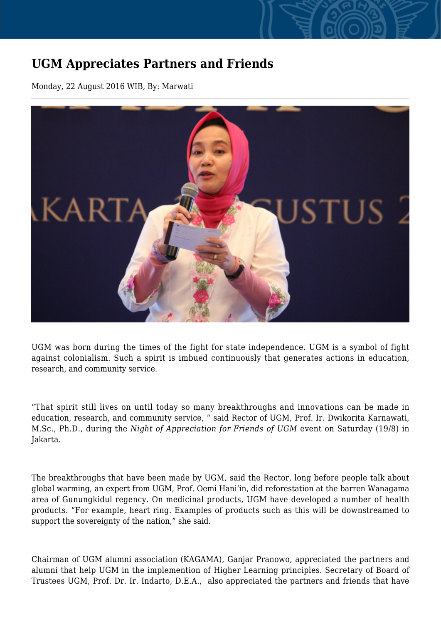## **UGM Appreciates Partners and Friends**

Monday, 22 August 2016 WIB, By: Marwati



UGM was born during the times of the fight for state independence. UGM is a symbol of fight against colonialism. Such a spirit is imbued continuously that generates actions in education, research, and community service.

"That spirit still lives on until today so many breakthroughs and innovations can be made in education, research, and community service, " said Rector of UGM, Prof. Ir. Dwikorita Karnawati, M.Sc., Ph.D., during the *Night of Appreciation for Friends of UGM* event on Saturday (19/8) in Jakarta.

The breakthroughs that have been made by UGM, said the Rector, long before people talk about global warming, an expert from UGM, Prof. Oemi Hani'in, did reforestation at the barren Wanagama area of Gunungkidul regency. On medicinal products, UGM have developed a number of health products. "For example, heart ring. Examples of products such as this will be downstreamed to support the sovereignty of the nation," she said.

Chairman of UGM alumni association (KAGAMA), Ganjar Pranowo, appreciated the partners and alumni that help UGM in the implemention of Higher Learning principles. Secretary of Board of Trustees UGM, Prof. Dr. Ir. Indarto, D.E.A., also appreciated the partners and friends that have